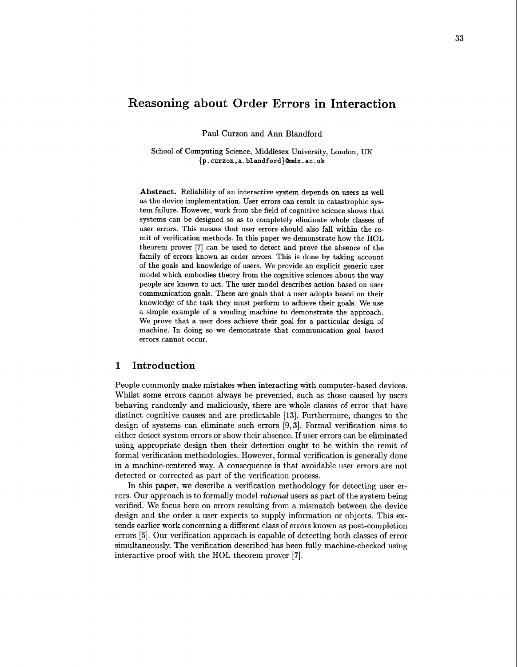# **Reasoning about Order Errors in Interaction**

Paul Curzon and Ann Blandford

School of Computing Science, Middlesex University, London, UK {p . **curzon. a. blandf ord)@mdx** . **ac** . **uk** 

**Abstract.** Reliability of an interactive system depends on users as well as the device implementation. User errors can result in catastrophic system failure. However, work from the field of cognitive science shows that systems can be designed so as to completely eliminate whole classes of user errors. This means that user errors should also fall within the remit of verification methods. In this paper we demonstrate how the HOL theorem prover **[7]** can be used to detect and prove the absence of the family of errors known as order errors. This is done by taking account of the goals and knowledge of users. We provide an explicit generic user model which embodies theory from the cognitive sciences about the way people are known to act. The user model describes action based on user communication goals. These are goals that a user adopts based on their knowledge of the task they must perform to achieve their goals. We use a simple example of a vending machine to demonstrate the approach. We prove that a user does achieve their goal for a particular design of machine. In doing so we demonstrate that communication goal based errors cannot occur.

### **1 Introduction**

People commonly make mistakes when interacting with computer-based devices. Whilst some errors cannot always be prevented, such as those caused by users behaving randomly and maliciously, there are whole classes of error that have distinct cognitive causes and are predictable 1131. Furthermore, changes to the design of systems can eliminate such errors [9,3]. Formal verification aims to either detect system errors or show their absence. If user errors can be eliminated using appropriate design then their detection ought to be within the remit of formal verification methodologies. However, formal verification is generally done in a machine-centered way. **A** consequence is that avoidable user errors are not detected or corrected as part of the verification process.

In this paper, we describe a verification methodology for detecting user errors. Our approach is to formally model *rational* users as part of the system being verified. We focus here on errors resulting from a mismatch between the device design and the order a user expects to supply information or objects. This extends earlier work concerning a different class of errors known as post-completion errors **[5].** Our verification approach is capable of detecting both classes of error simultaneously. The verification described has been fully machine-checked using interactive proof with the HOL theorem prover [7].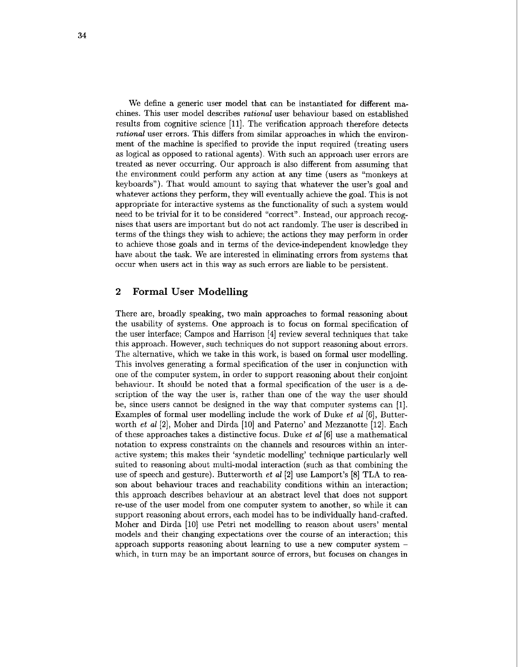We define a generic user model that can be instantiated for different machines. This user model describes *rational* user behaviour based on established results from cognitive science [ll]. The verification approach therefore detects *rational* user errors. This differs from similar approaches in which the environment of the machine is specified to provide the input required (treating users as logical as opposed to rational agents). With such an approach user errors are treated as never occurring. Our approach is also different from assuming that the environment could perform any action at any time (users as "monkeys at keyboards"). That would amount to saying that whatever the user's goal and whatever actions they perform, they will eventually achieve the goal. This is not appropriate for interactive systems as the functionality of such a system would need to be trivial for it to be considered "correct". Instead, our approach recognises that users are important but do not act randomly. The user is described in terms of the things they wish to achieve; the actions they may perform in order to achieve those goals and in terms of the device-independent knowledge they have about the task. We are interested in eliminating errors from systems that occur when users act in this way as such errors are liable to be persistent.

## **2 Formal User Modelling**

There are, broadly speaking, two main approaches to formal reasoning about the usability of systems. One approach is to focus on formal specification of the user interface; Campos and Harrison [4] review several techniques that take this approach. However, such techniques do not support reasoning about errors. The alternative, which we take in this work, is based on formal user modelling. This involves generating a formal specification of the user in conjunction with one of the computer system, in order to support reasoning about their conjoint behaviour. It should be noted that a formal specification of the user is a description of the way the user is, rather than one of the way the user should be, since users cannot be designed in the way that computer systems can [I]. Examples of formal user modelling include the work of Duke *et a1* [6], Butterworth *et al* [2], Moher and Dirda [10] and Paterno' and Mezzanotte [12]. Each of these approaches takes a distinctive focus. Duke *et a1* [6] use a mathematical notation to express constraints on the channels and resources within an interactive system; this makes their 'syndetic modelling' technique particularly well suited to reasoning about multi-modal interaction (such as that combining the use of speech and gesture). Butterworth *et a1* [2] use Lamport's [8] TLA to reason about behaviour traces and reachability conditions within an interaction; this approach describes behaviour at an abstract level that does not support re-use of the user model from one computer system to another, so while it can support reasoning about errors, each model has to be individually hand-crafted. Moher and Dirda [10] use Petri net modelling to reason about users' mental models and their changing expectations over the course of an interaction; this approach supports reasoning about learning to use a new computer system which, in turn may be an important source of errors, but focuses on changes in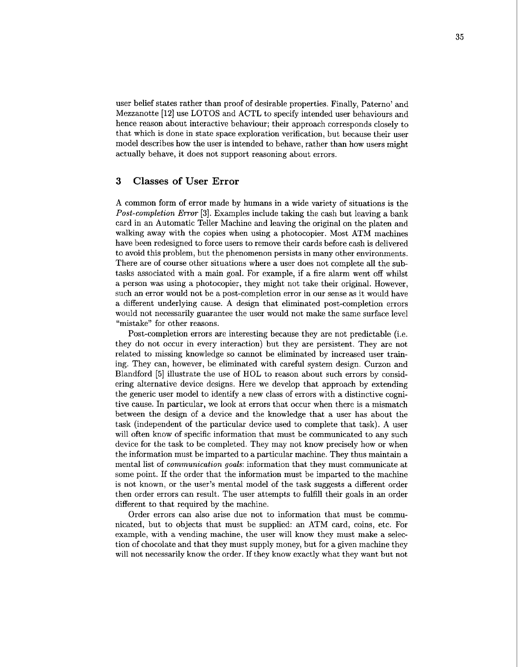user belief states rather than proof of desirable properties. Finally, Paterno' and Mezzanotte **[12]** use LOTOS and ACTL to specify intended user behaviours and hence reason about interactive behaviour; their approach corresponds closely to that which is done in state space exploration verification, but because their user model describes how the user is intended to behave, rather than how users might actually behave, it does not support reasoning about errors.

## **3 Classes of User Error**

**A** common form of error made by humans in a wide variety of situations is the Post-completion Error **[3].** Examples include taking the cash but leaving a bank card in an Automatic Teller Machine and leaving the original on the platen and walking away with the copies when using a photocopier. Most ATM machines have been redesigned to force users to remove their cards before cash is delivered to avoid this problem, but the phenomenon persists in many other environments. There are of course other situations where a user does not complete all the subtasks associated with a main goal. For example, if a fire alarm went off whilst a person was using a photocopier, they might not take their original. However, such an error would not be a post-completion error in our sense as it would have a different underlying cause. A design that eliminated post-completion errors would not necessarily guarantee the user would not make the same surface level "mistake" for other reasons.

Post-completion errors are interesting because they are not predictable (i.e. they do not occur in every interaction) but they are persistent. They are not related to missing knowledge so cannot be eliminated by increased user training. They can, however, be eliminated with careful system design. Curzon and Blandford [5] illustrate the use of HOL to reason about such errors by considering alternative device designs. Here we develop that approach by extending the generic user model to identify a new class of errors with a distinctive cognitive cause. In particular, we look at errors that occur when there is a mismatch between the design of a device and the knowledge that a user has about the task (independent of the particular device used to complete that task). A user will often know of specific information that must be communicated to any such device for the task to be completed. They may not know precisely how or when the information must be imparted to a particular machine. They thus maintain a mental list of communication goals: information that they must communicate at some point. If the order that the information must be imparted to the machine is not known, or the user's mental model of the task suggests a different order then order errors can result. The user attempts to fulfill their goals in an order different to that required by the machine.

Order errors can also arise due not to information that must be communicated, but to objects that must be supplied: an ATM card, coins, etc. For example, with a vending machine, the user will know they must make a selection of chocolate and that they must supply money, but for a given machine they will not necessarily know the order. If they know exactly what they want but not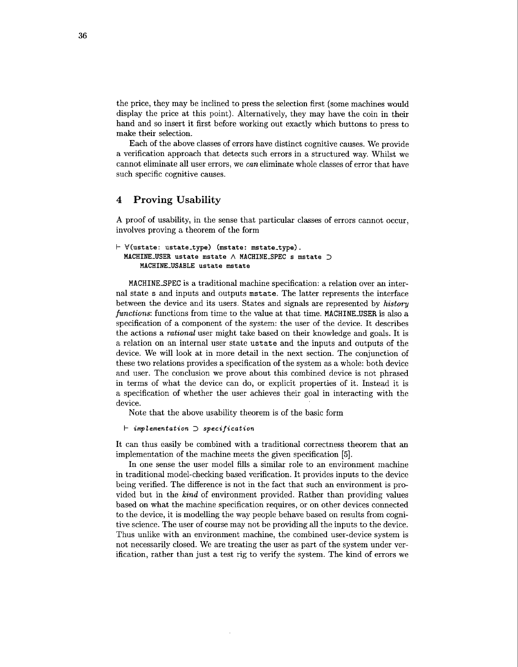the price, they may be inclined to press the selection first (some machines would display the price at this point). Alternatively, they may have the coin in their hand and so insert it first before working out exactly which buttons to press to make their selection.

Each of the above classes of errors have distinct cognitive causes. We provide a verification approach that detects such errors in a structured way. Whilst we cannot eliminate all user errors, we *can* eliminate whole classes of error that have such specific cognitive causes.

# **4 Proving Usability**

A proof of usability, in the sense that particular classes of errors cannot occur, involves proving a theorem of the form

```
I- V(ustate: ustate-type) (mstate: mstate-type) . MACHINE-USER ustate mstate A MACHINE-SPEC s mstate 3
         MACHINE-USABLE ustate mstate
```
MACHINESPEC is a traditional machine specification: a relation over an internal state s and inputs and outputs mstate. The latter represents the interface between the device and its users. States and signals are represented by *history functions:* functions from time to the value at that time. MACHINE\_USER is also a specification of a component of the system: the user of the device. It describes the actions a *rational* user might take based on their knowledge and goals. It is a relation on an internal user state ustate and the inputs and outputs of the device. We will look at in more detail in the next section. The conjunction of these two relations provides a specification of the system as a whole: both device and user. The conclusion we prove about this combined device is not phrased in terms of what the device can do, or explicit properties of it. Instead it is a specification of whether the user achieves their goal in interacting with the device.

Note that the above usability theorem is of the basic form

**I- implementation** *3* **specification** 

It can thus easily be combined with a traditional correctness theorem that **an**  implementation of the machine meets the given specification **[5].** 

In one sense the user model fills a similar role to an environment machine in traditional model-checking based verification. It provides inputs to the device being verified. The difference is not in the fact that such an environment is provided but in the *kind* of environment provided. Rather than providing values based on what the machine specification requires, or on other devices connected to the device, it is modelling the way people behave based on results from cognitive science. The user of course may not be providing all the inputs to the device. Thus unlike with **an** environment machine, the combined user-device system is not necessarily closed. We are treating the user as part of the system under verification, rather than just a test rig to verify the system. The kind of errors we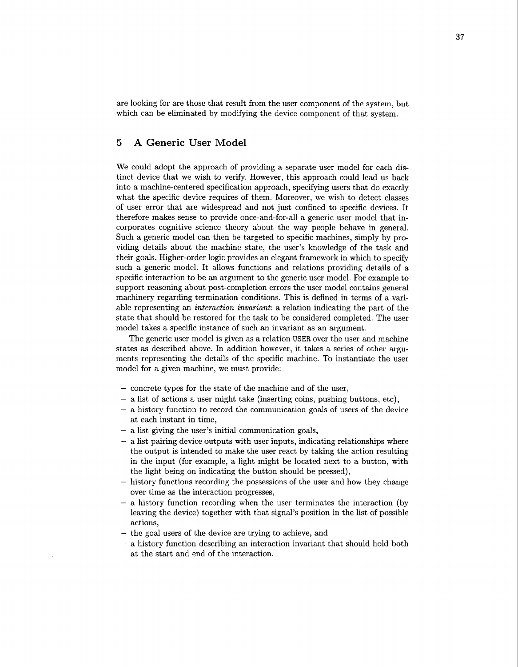are looking for are those that result from the user component of the system, but which can be eliminated by modifying the device component of that system.

## **5 A Generic User Model**

We could adopt the approach of providing a separate user model for each distinct device that we wish to verify. However, this approach could lead us back into a machine-centered specification approach, specifying users that do exactly what the specific device requires of them. Moreover, we wish to detect classes of user error that are widespread and not just confined to specific devices. It therefore makes sense to provide once-and-for-all a generic user model that incorporates cognitive science theory about the way people behave in general. Such a generic model can then be targeted to specific machines, simply by providing details about the machine state, the user's knowledge of the task and their goals. Higher-order logic provides an elegant framework in which to specify such a generic model. It allows functions and relations providing details of a specific interaction to be an argument to the generic user model. For example to support reasoning about post-completion errors the user model contains general machinery regarding termination conditions. This is defined in terms of a variable representing an *interaction invariant:* a relation indicating the part of the state that should be restored for the task to be considered completed. The user model takes a specific instance of such an invariant as an argument.

The generic user model is given as a relation USER over the user and machine states as described above. In addition however, it takes a series of other arguments representing the details of the specific machine. To instantiate the user model for a given machine, we must provide:

- concrete types for the state of the machine and of the user,
- a list of actions a user might take (inserting coins, pushing buttons, etc),
- a history function to record the communication goals of users of the device at each instant in time,
- a list giving the user's initial communication goals,
- $-$  a list pairing device outputs with user inputs, indicating relationships where the output is intended to make the user react by taking the action resulting in the input (for example, a light might be located next to a button, with the light being on indicating the button should be pressed),
- history functions recording the possessions of the user and how they change over time as the interaction progresses,
- a history function recording when the user terminates the interaction (by leaving the device) together with that signal's position in the list of possible actions,
- the goal users of the device are trying to achieve, and
- a history function describing an interaction invariant that should hold both at the start and end of the interaction.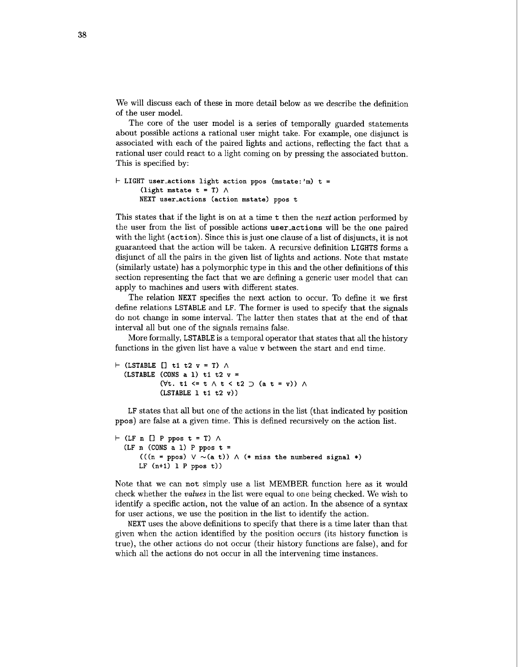We will discuss each of these in more detail below as we describe the definition of the user model.

The core of the user model is a series of temporally guarded statements about possible actions a rational user might take. For example, one disjunct is associated with each of the paired lights and actions, reflecting the fact that a rational user could react to a light coming on by pressing the associated button. This is specified by:

```
k LIGHT user-actions light action ppos (mstate: 'm) t = 
      (light mstate t = T) \wedgeNEXT user-actions (action mstate) ppos t
```
This states that if the light is on at a time t then the **next** action performed by the user from the list of possible actions useractions will be the one paired with the light (action). Since this is just one clause of a list of disjuncts, it is not guaranteed that the action will be taken. **A** recursive definition **LIGHTS** forms a disjunct of all the pairs in the given list of lights and actions. Note that mstate (similarly ustate) has a polymorphic type in this and the other definitions of this section representing the fact that we are defining a generic user model that can apply to machines and users with different states.

The relation **NEXT** specifies the next action to occur. To define it we first define relations **LSTABLE** and **LF.** The former is used to specify that the signals do not change in some interval. The latter then states that at the end of that interval all but one of the signals remains false.

More formally, **LSTABLE** is a temporal operator that states that all the history functions in the given list have a value v between the start and end time.

```
\vdash (LSTABLE [] t1 t2 v = T) \land(LSTABLE (CONS a 1) tl t2 v =
               (\forall t. \text{ } t1 \leq t \land t \leq t2 \supset (a t = v)) \land(LSTABLE 1 tl t2 v))
```
LF states that all but one of the actions in the list (that indicated by position ppos) are false at a given time. This is defined recursively on the action list.

```
\vdash (LF n [] P ppos t = T) \land(LF n (CONS a 1) P ppos t =
       (((n = ppos) \lor \sim(a t)) \land (* miss the numbered signal *)LF (n+l) 1 P ppos t))
```
Note that we can not simply use a list MEMBER function here as it would check whether the values in the list were equal to one being checked. We wish to identify a specific action, not the value of an action. In the absence of a syntax for user actions, we use the position in the list to identify the action.

**NEXT** uses the above definitions to specify that there is a time later than that given when the action identified by the position occurs (its history function is true), the other actions do not occur (their history functions are false), and for which all the actions do not occur in all the intervening time instances.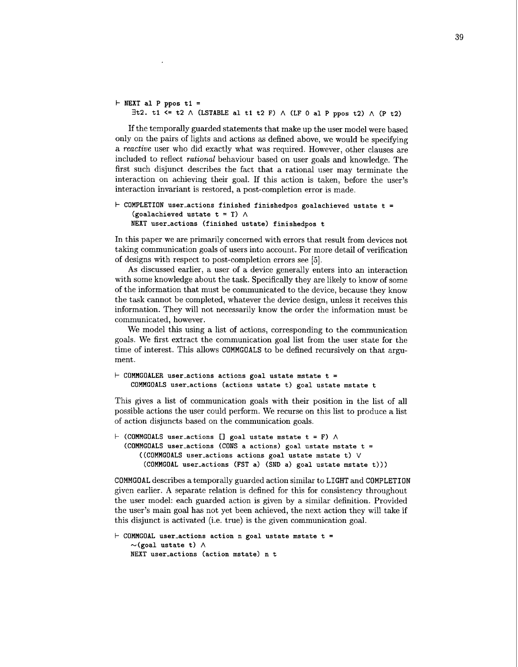```
I- NEXT a1 P ppos ti =
    3t2. ti \leq t2 \land (LSTABLE al t1 t2 F) \land (LF 0 al P ppos t2) \land (P t2)
```
If the temporally guarded statements that make up the user model were based only on the pairs of lights and actions as defined above, we would be specifying a **reactive** user who did exactly what was required. However, other clauses are included to reflect *rational* behaviour based on user goals and knowledge. The first such disjunct describes the fact that a rational user may terminate the interaction on achieving their goal. If this action is taken, before the user's interaction invariant is restored, a post-completion error is made.

```
COMPLETION user-actions finished finishedpos goalachieved ustate t =
    (goalachieved ustate t = T) \wedgeNEXT user-actions (finished ustate) f inishedpos t
```
In this paper we are primarily concerned with errors that result from devices not taking communication goals of users into account. For more detail of verification of designs with respect to post-completion errors see **[5].** 

As discussed earlier, a user of a device generally enters into an interaction with some knowledge about the task. Specifically they are likely to know of some of the information that must be communicated to the device, because they know the task cannot be completed, whatever the device design, unless it receives this information. They will not necessarily know the order the information must be communicated, however.

We model this using a list of actions, corresponding to the communication goals. We first extract the communication goal list from the user state for the time of interest. This allows **COMMGOALS** to be defined recursively on that argument.

```
I- COMMGOALER user-actions actions goal ustate mstate t =
    COMMGOALS user-actions (actions ustate t) goal ustate mstate t
```
This gives a list of communication goals with their position in the list of all possible actions the user could perform. We recurse on this list to produce a list of action disjuncts based on the communication goals.

```
\vdash (COMMGOALS user_actions [] goal ustate mstate t = F) \land(COMMGOALS user-actions (CONS a actions) goal ustate mstate t =
      ((COMMGOALS user-actions actions goal ustate mstate t) V 
       (COMMGOAL user-actions (FST a) (SND a) goal ustate mstate t)))
```
**COMMGOAL** describes a temporally guarded action similar to **LIGHT** and **COMPLETION**  given earlier. A separate relation is defined for this for consistency throughout the user model: each guarded action is given by a similar definition. Provided the user's main goal has not yet been achieved, the next action they will take if this disjunct is activated (i.e. true) is the given communication goal.

```
I- COMMGOAL user-actions action n goal ustate mstate t =
    \sim(goal ustate t) \wedgeNEXT user-actions (action mstate) n t
```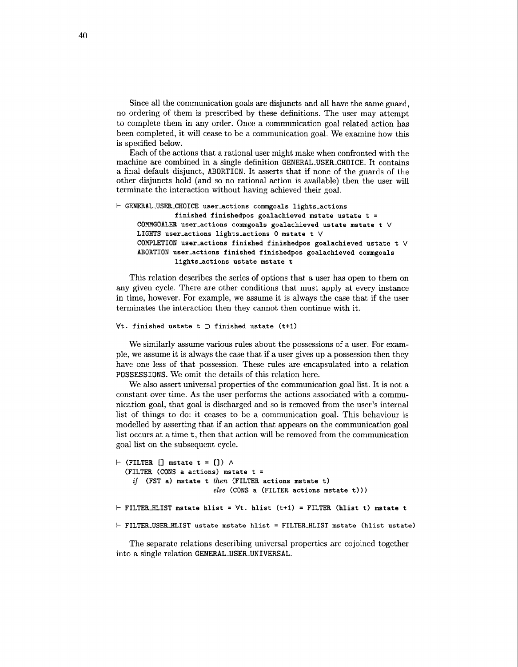Since all the communication goals are disjuncts and all have the same guard, no ordering of them is prescribed by these definitions. The user may attempt to complete them in any order. Once a communication goal related action has been completed, it will cease to be a communication goal. We examine how this is specified below.

Each of the actions that a rational user might make when confronted with the machine are combined in a single definition **GENERAL-USER-CHOICE.** It contains a final default disjunct, **ABORTION.** It asserts that if none of the guards of the other disjuncts hold (and so no rational action is available) then the user will terminate the interaction without having achieved their goal.

```
I- GENERAL-USER-CHOICE user-actions comgoals lights-actions 
               finished finishedpos goalachieved mstate ustate t = 
     COMMGOALER user-actions commgoals goalachieved ustate mstate t V 
     LIGHTS user-actions lights-actions 0 mstate t V 
     COMPLETION user-actions finished finishedpos goalachieved ustate t V 
     ABORTION user-actions finished finishedpos goalachieved commgoals 
               lights-actions ustate mstate t
```
This relation describes the series of options that a user has open to them on any given cycle. There are other conditions that must apply at every instance in time, however. For example, we assume it is always the case that if the user terminates the interaction then they cannot then continue with it.

#### **Vt. finished ustate t 3 finished ustate (t+l)**

We similarly assume various rules about the possessions of a user. For example, we assume it is always the case that if a user gives up a possession then they have one less of that possession. These rules are encapsulated into a relation **POSSESSIONS.** We omit the details of this relation here.

We also assert universal properties of the communication goal list. It is not a constant over time. **As** the user performs the actions associated with a communication goal, that goal is discharged and so is removed from the user's internal list of things to do: it ceases to be a communication goal. This behaviour is modelled by asserting that if an action that appears on the communication goal list occurs at a time t, then that action will be removed from the communication goal list on the subsequent cycle.

```
I- (FILTER [I mstate t = [I) A 
  (FILTER (CONS a actions) mstate t = 
    if (FST a) mstate t then (FILTER actions mstate t) 
                         else (CONS a (FILTER actions mstate t))) 
I- FILTERHLIST mstate hlist = Vt. hlist (t+l) = FILTER (hlist t) mstate t 
I- FILTER-USERHLIST ustate mstate hlist = FILTERHLIST mstate (hlist ustate)
```
The separate relations describing universal properties are cojoined together into a single relation **GENERAL-USER-UNIVERSAL.**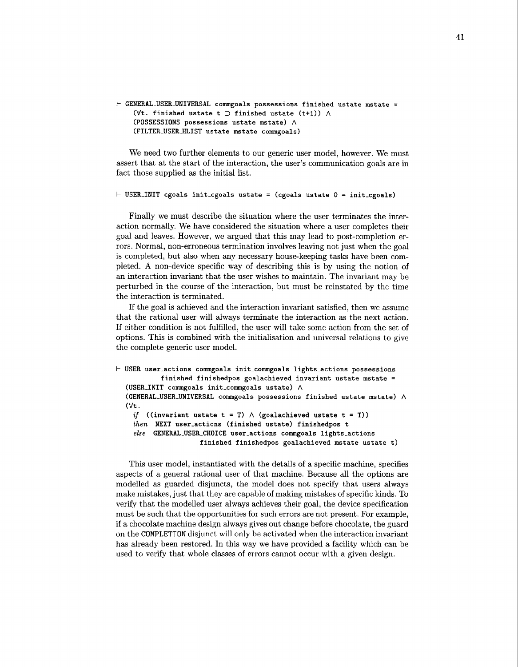```
I- GENERAL-USER-UNIVERSAL commgoals possessions finished ustate mstate = 
     (\forall t \cdot \text{ finished ustate } t \supset \text{ finished ustate } (t+1)) \wedge(POSSESSIONS possessions ustate mstate) A 
     (FILTER-USERHLIST ustate mstate commgoals)
```
We need two further elements to our generic user model, however. We must assert that at the start of the interaction, the user's communication goals are in fact those supplied as the initial list.

```
I- USER-INIT cgoals init-cgoals ustate = (cgoals ustate 0 = init-cgoals)
```
Finally we must describe the situation where the user terminates the interaction normally. We have considered the situation where a user completes their goal and leaves. However, we argued that this may lead to post-completion errors. Normal, non-erroneous termination involves leaving not just when the goal is completed, but also when any necessary house-keeping tasks have been completed. **A** non-device specific way of describing this is by using the notion of an interaction invariant that the user wishes to maintain. The invariant may be perturbed in the course of the interaction, but must be reinstated by the time the interaction is terminated.

If the goal is achieved and the interaction invariant satisfied, then we assume that the rational user will always terminate the interaction as the next action. If either condition is not fulfilled, the user will take some action from the set of options. This is combined with the initialisation and universal relations to give the complete generic user model.

```
I- USER user-actions commgoals init-commgoals lights-actions possessions 
            finished finishedpos goalachieved invariant ustate mstate = 
  (USER-INIT commgoals init-commgoals ustate) A 
  (GENERAL-USER-UNIVERSAL commgoals possessions finished ustate mstate) A 
  (Vt . 
    if ((\text{invariant ustate } t = T) \land (\text{goalachieved ustate } t = T))then NEXT user-actions (finished ustate) finishedpos t 
    else GENERAL-USER-CHOICE user-actions commgoals lights-actions 
                      finished finishedpos goalachieved mstate ustate t)
```
This user model, instantiated with the details of a specific machine, specifies aspects of a general rational user of that machine. Because all the options are modelled as guarded disjuncts, the model does not specify that users always make mistakes, just that they are capable of making mistakes of specific kinds. To verify that the modelled user always achieves their goal, the device specification must be such that the opportunities for such errors are not present. For example, if a chocolate machine design always gives out change before chocolate, the guard on the COMPLETION disjunct will only be activated when the interaction invariant has already been restored. In this way we have provided a facility which can be used to verify that whole classes of errors cannot occur with a given design.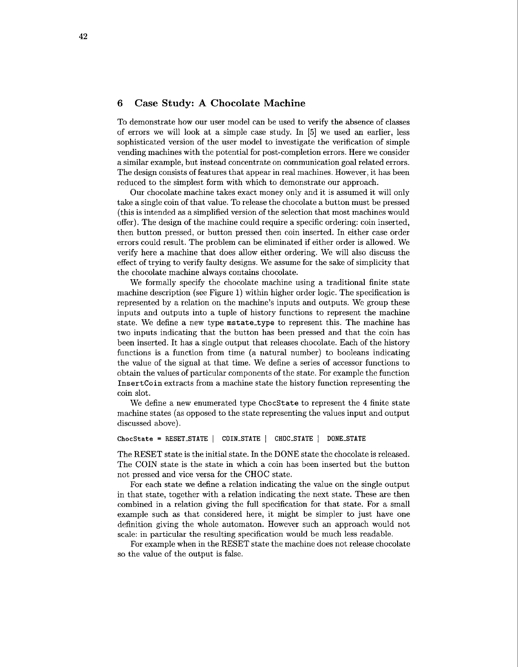### **6 Case Study: A Chocolate Machine**

To demonstrate how our user model can be used to verify the absence of classes of errors we will look at a simple case study. In **[5]** we used an earlier, less sophisticated version of the user model to investigate the verification of simple vending machines with the potential for post-completion errors. Here we consider a similar example, but instead concentrate on communication goal related errors. The design consists of features that appear in real machines. However, it has been reduced to the simplest form with which to demonstrate our approach.

Our chocolate machine takes exact money only and it is assumed it will only take a single coin of that value. To release the chocolate a button must be pressed (this is intended **as** a simplified version of the selection that most machines would offer). The design of the machine could require a specific ordering: coin inserted, then button pressed, or button pressed then coin inserted. In either case order errors could result. The problem can be eliminated if either order is allowed. We verify here a machine that does allow either ordering. We will also discuss the effect of trying to verify faulty designs. We assume for the sake of simplicity that the chocolate machine always contains chocolate.

We formally specify the chocolate machine using a traditional finite state machine description (see Figure 1) within higher order logic. The specification is represented by a relation on the machine's inputs and outputs. We group these inputs and outputs into a tuple of history functions to represent the machine state. We define a new type **mstate-type** to represent this. The machine has two inputs indicating that the button has been pressed and that the coin has been inserted. It has a single output that releases chocolate. Each of the history functions is a function from time (a natural number) to booleans indicating the value of the signal at that time. We define a series of accessor functions to obtain the values of particular components of the state. For example the function **Insertcoin** extracts from a machine state the history function representing the coin slot.

We define a new enumerated type **ChocState** to represent the 4 finite state machine states (as opposed to the state representing the values input and output discussed above).

#### ChocState = RESET\_STATE | COIN\_STATE | CHOC\_STATE | DONE\_STATE

The RESET state is the initial state. In the DONE state the chocolate is released. The COIN state is the state in which a coin has been inserted but the button not pressed and vice versa for the CHOC state.

For each state we define a relation indicating the value on the single output in that state, together with a relation indicating the next state. These are then combined in a relation giving the full specification for that state. For a small example such as that considered here, it might be simpler to just have one definition giving the whole automaton. However such an approach would not scale: in particular the resulting specification would be much less readable.

For example when in the RESET state the machine does not release chocolate so the value of the output is false.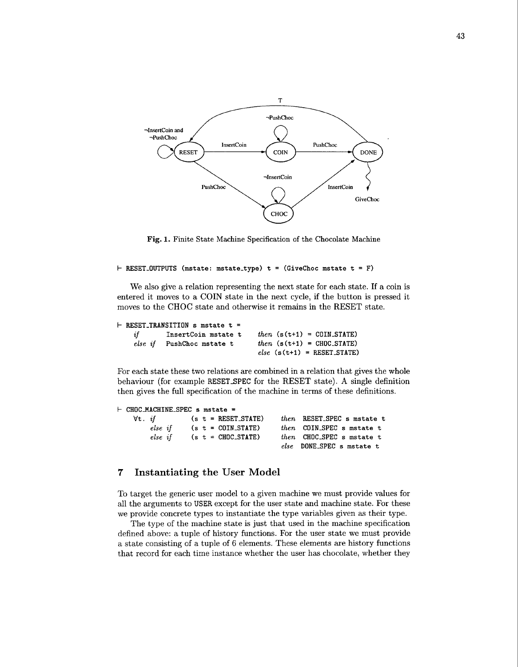

**Fig. 1. Finite State Machine Specification of the Chocolate Machine** 

```
I- RESET-OUTPUTS (mstate: mstate-type) t = (GiveChoc mstate t =F)
```
We also give a relation representing the next state for each state. If a coin is entered it moves to a COIN state in the next cycle, if the button is pressed it moves to the CHOC state and otherwise it remains in the RESET state.

#### k **RESET-TRANSITION s mstate t** <sup>=</sup>

| if | InsertCoin mstate t       | <i>then</i> $(s(t+1) = \text{COLN}_\text{STATE})$ |
|----|---------------------------|---------------------------------------------------|
|    | else if PushChoc mstate t | $then$ $(s(t+1) = CHOC\_STATE)$                   |
|    |                           | $else$ (s(t+1) = RESET_STATE)                     |

For each state these two relations are combined in a relation that gives the whole behaviour (for example **RESETSPEC** for the RESET state). **A** single definition then gives the full specification of the machine in terms of these definitions.

```
\vdash CHOC_MACHINE_SPEC s mstate =<br>\forallt. if (s t = RESET_STATE)
    Vt. if (s t =RESET-STATE) then RESET-SPEC s mstate t 
                     else if (s t =COIN-STATE) then COIN-SPEC smstate t 
         else if if (s t = CHOC\_STATE) then CHOC\_SPEC s mstate t
                                              else DONE-SPEC s mstate t
```
# **7 Instantiating the User Model**

To target the generic user model to a given machine we must provide values for all the arguments to **USER** except for the user state and machine state. For these we provide concrete types to instantiate the type variables given as their type.

The type of the machine state is just that used in the machine specification defined above: a tuple of history functions. For the user state we must provide a state consisting of a tuple of 6 elements. These elements are history functions that record for each time instance whether the user has chocolate, whether they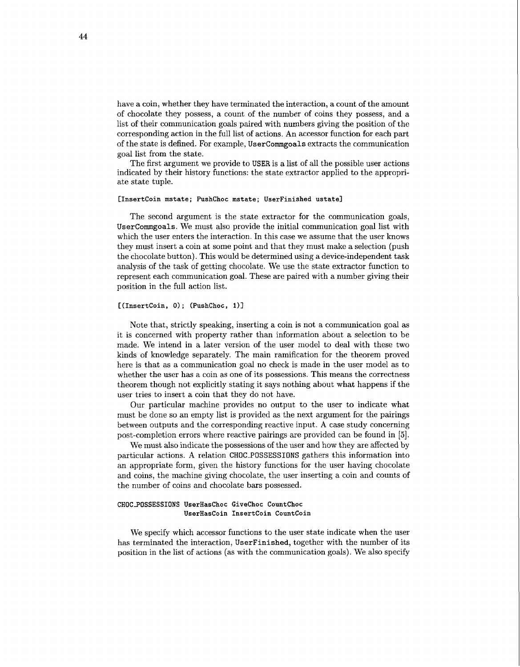have a coin, whether they have terminated the interaction, a count of the amount of chocolate they possess, a count of the number of coins they possess, and a list of their communication goals paired with numbers giving the position of the corresponding action in the full list of actions. An accessor function for each part of the state is defined. For example, Usercommgoals extracts the communication goal list from the state.

The first argument we provide to USER is a list of all the possible user actions indicated by their history functions: the state extractor applied to the appropriate state tuple.

#### **[InsertCoin mstate; PushChoc mstate; UserFinished ustate]**

The second argument is the state extractor for the communication goals, Usercommgoals. We must also provide the initial communication goal list with which the user enters the interaction. In this case we assume that the user knows they must insert a coin at some point and that they must make a selection (push the chocolate button). This would be determined using a device-independent task analysis of the task of getting chocolate. We use the state extractor function to represent each communication goal. These are paired with a number giving their position in the full action list.

### $[(\text{InsertCoin}, 0); (\text{PushChoc}, 1)]$

Note that, strictly speaking, inserting a coin is not a communication goal as it is concerned with property rather than information about a selection to be made. We intend in a later version of the user model to deal with these two kinds of knowledge separately. The main ramification for the theorem proved here is that as a communication goal no check is made in the user model as to whether the user has a coin as one of its possessions. This means the correctness theorem though not explicitly stating it says nothing about what happens if the user tries to insert a coin that they do not have.

Our particular machine provides no output to the user to indicate what must be done so an empty list is provided as the next argument for the pairings between outputs and the corresponding reactive input. A case study concerning post-completion errors where reactive pairings are provided can be found in *[5].* 

We must also indicate the possessions of the user and how they are affected by particular actions. A relation CHOC\_POSSESSIONS gathers this information into an appropriate form, given the history functions for the user having chocolate and coins, the machine giving chocolate, the user inserting a coin and counts of the number of coins and chocolate bars possessed.

#### **CHOCPOSSESSIONS UserHasChoc GiveChoc CountChoc UserHasCoin InsertCoin Countcoin**

We specify which accessor functions to the user state indicate when the user has terminated the interaction, UserFinished, together with the number of its position in the list of actions (as with the communication goals). We also specify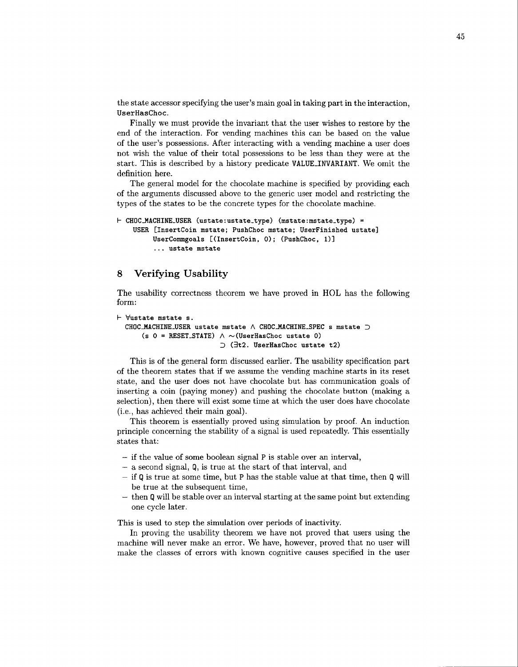the state accessor specifying the user's main goal in taking part in the interaction, **UserHasChoc.** 

Finally we must provide the invariant that the user wishes to restore by the end of the interaction. For vending machines this can be based on the value of the user's possessions. After interacting with a vending machine a user does not wish the value of their total possessions to be less than they were at the start. This is described by a history predicate **VALUE-INVARIANT.** We omit the definition here.

The general model for the chocolate machine is specified by providing each of the arguments discussed above to the generic user model and restricting the types of the states to be the concrete types for the chocolate machine.

```
k CHOCAACHINE-USER (ustate:ustate-type) (mstate:mstate-type) = 
    USER [Insertcoin mstate; PushChoc mstate; UserFinished ustate] 
         UserCommgoals [(InsertCoin, 0); (PushChoc, 1)]
         . . . ustate mstate
```
# **8 Verifying Usability**

The usability correctness theorem we have proved in HOL has the following form:

```
k 'dustate mstate s. 
  CHOCAACHINE-USER ust ate mstate A CHOCAACHINE-SPEC s mstate 3 
      (s 0 = RESET_STATE) \land \sim (UserHasChoc ustate 0)
                            3 (32. UserHasChoc ustate t2)
```
This is of the general form discussed earlier. The usability specification part of the theorem states that if we assume the vending machine starts in its reset state, and the user does not have chocolate but has communication goals of inserting a coin (paying money) and pushing the chocolate button (making a selection), then there will exist some time at which the user does have chocolate (i.e., has achieved their main goal).

This theorem is essentially proved using simulation by proof. An induction principle concerning the stability of a signal is used repeatedly. This essentially states that:

- if the value of some boolean signal P is stable over an interval,
- a second signal, Q, is true at the start of that interval, and
- $-$  if Q is true at some time, but P has the stable value at that time, then Q will be true at the subsequent time,
- $-$  then Q will be stable over an interval starting at the same point but extending one cycle later.

This is used to step the simulation over periods of inactivity.

In proving the usability theorem we have not proved that users using the machine will never make an error. We have, however, proved that no user will make the classes of errors with known cognitive causes specified in the user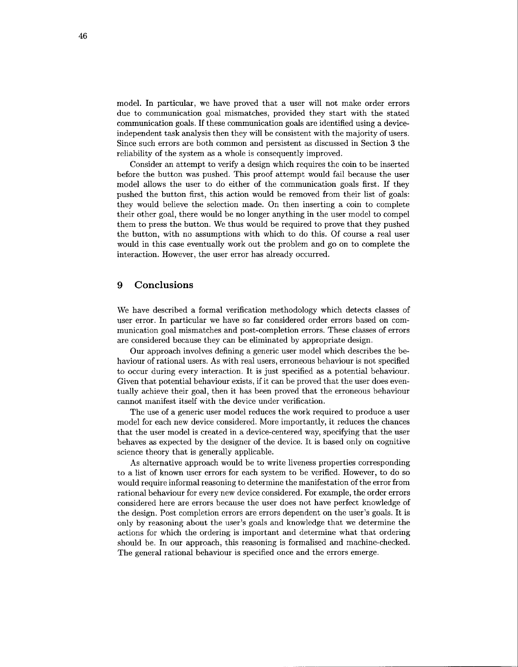model. In particular, we have proved that a user will not make order errors due to communication goal mismatches, provided they start with the stated communication goals. If these communication goals are identified using a deviceindependent task analysis then they will be consistent with the majority of users. Since such errors are both common and persistent as discussed in Section **3** the reliability of the system as a whole is consequently improved.

Consider an attempt to verify a design which requires the coin to be inserted before the button was pushed. This proof attempt would fail because the user model allows the user to do either of the communication goals first. If they pushed the button first, this action would be removed from their list of goals: they would believe the selection made. On then inserting a coin to complete their other goal, there would be no longer anything in the user model to compel them to press the button. We thus would be required to prove that they pushed the button, with no assumptions with which to do this. Of course a real user would in this case eventually work out the problem and go on to complete the interaction. However, the user error has already occurred.

### **9 Conclusions**

We have described a formal verification methodology which detects classes of user error. In particular we have so far considered order errors based on communication goal mismatches and post-completion errors. These classes of errors are considered because they can be eliminated by appropriate design.

Our approach involves defining a generic user model which describes the behaviour of rational users. As with real users, erroneous behaviour is not specified to occur during every interaction. It is just specified as a potential behaviour. Given that potential behaviour exists, if it can be proved that the user does eventually achieve their goal, then it has been proved that the erroneous behaviour cannot manifest itself with the device under verification.

The use of a generic user model reduces the work required to produce a user model for each new device considered. More importantly, it reduces the chances that the user model is created in a device-centered way, specifying that the user behaves as expected by the designer of the device. It is based only on cognitive science theory that is generally applicable.

As alternative approach would be to write liveness properties corresponding to a list of known user errors for each system to be verified. However, to do so would require informal reasoning to determine the manifestation of the error from rational behaviour for every new device considered. For example, the order errors considered here are errors because the user does not have perfect knowledge of the design. Post completion errors are errors dependent on the user's goals. It is only by reasoning about the user's goals and knowledge that we determine the actions for which the ordering is important and determine what that ordering should be. In our approach, this reasoning is formalised and machine-checked. The general rational behaviour is specified once and the errors emerge.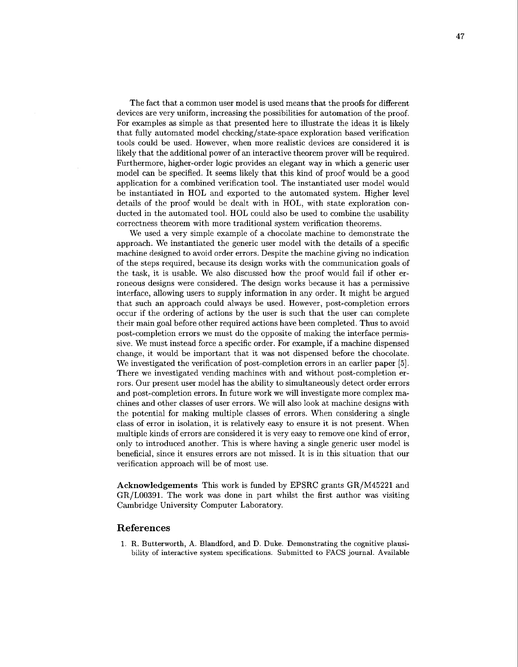The fact that a common user model is used means that the proofs for different devices are very uniform, increasing the possibilities for automation of the proof. For examples as simple as that presented here to illustrate the ideas it is likely that fully automated model checking/state-space exploration based verification tools could be used. However, when more realistic devices are considered it is likely that the additional power of an interactive theorem prover will be required. Furthermore, higher-order logic provides an elegant way in which a generic user model can be specified. It seems likely that this kind of proof would be a good application for a combined verification tool. The instantiated user model would be instantiated in HOL and exported to the automated system. Higher level details of the proof would be dealt with in HOL, with state exploration conducted in the automated tool. HOL could also be used to combine the usability correctness theorem with more traditional system verification theorems.

We used a very simple example of a chocolate machine to demonstrate the approach. We instantiated the generic user model with the details of a specific machine designed to avoid order errors. Despite the machine giving no indication of the steps required, because its design works with the communication goals of the task, it is usable. We also discussed how the proof would fail if other erroneous designs were considered. The design works because it has a permissive interface, allowing users to supply information in any order. It might be argued that such an approach could always be used. However, post-completion errors occur if the ordering of actions by the user is such that the user can complete their main goal before other required actions have been completed. Thus to avoid post-completion errors we must do the opposite of making the interface permissive. We must instead force a specific order. For example, if a machine dispensed change, it would be important that it was not dispensed before the chocolate. We investigated the verification of post-completion errors in an earlier paper **(51.**  There we investigated vending machines with and without post-completion errors. Our present user model has the ability to simultaneously detect order errors and post-completion errors. In future work we will investigate more complex machines and other classes of user errors. We will also look at machine designs with the potential for making multiple classes of errors. When considering a single class of error in isolation, it is relatively easy to ensure it is not present. When multiple kinds of errors are considered it is very easy to remove one kind of error, only to introduced another. This is where having a single generic user model is beneficial, since it ensures errors are not missed. It is in this situation that our verification approach will be of most use.

**Acknowledgements** This work is funded by EPSRC grants GR/M45221 and GR/L00391. The work was done in part whilst the first author was visiting Cambridge University Computer Laboratory.

### **References**

1. R. Butterworth, **A.** Blandford, and D. Duke. Demonstrating the cognitive plausibility of interactive system specifications. Submitted to FACS journal. Available